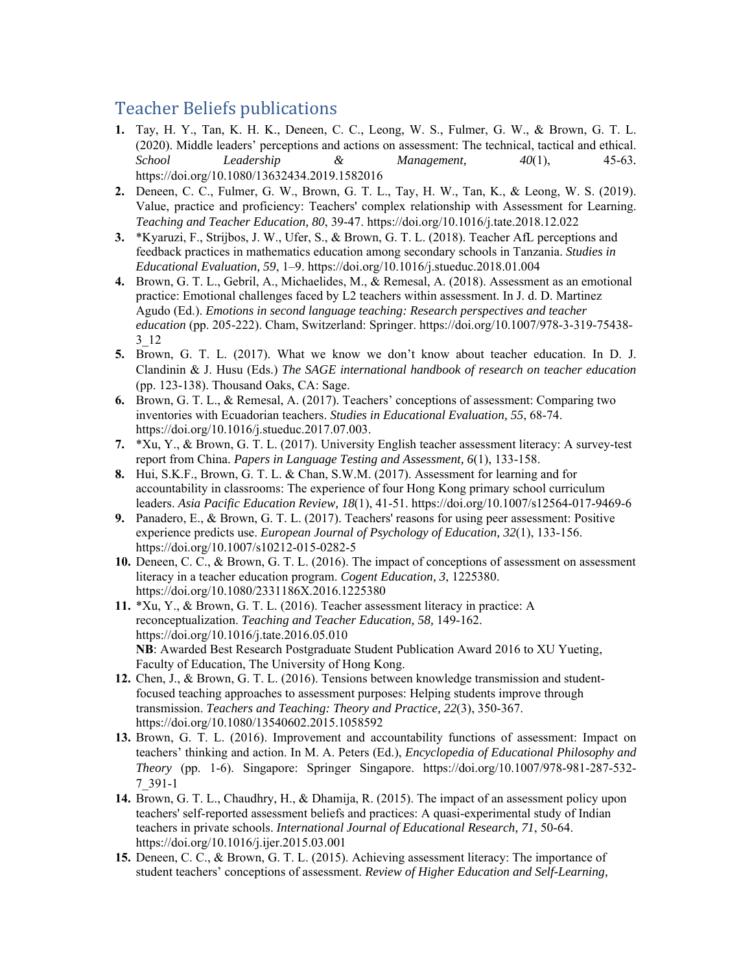## Teacher Beliefs publications

- **1.** Tay, H. Y., Tan, K. H. K., Deneen, C. C., Leong, W. S., Fulmer, G. W., & Brown, G. T. L. (2020). Middle leaders' perceptions and actions on assessment: The technical, tactical and ethical. *School Leadership & Management, 40*(1), 45-63*.*  https://doi.org/10.1080/13632434.2019.1582016
- **2.** Deneen, C. C., Fulmer, G. W., Brown, G. T. L., Tay, H. W., Tan, K., & Leong, W. S. (2019). Value, practice and proficiency: Teachers' complex relationship with Assessment for Learning. *Teaching and Teacher Education, 80*, 39-47. https://doi.org/10.1016/j.tate.2018.12.022
- **3.** \*Kyaruzi, F., Strijbos, J. W., Ufer, S., & Brown, G. T. L. (2018). Teacher AfL perceptions and feedback practices in mathematics education among secondary schools in Tanzania. *Studies in Educational Evaluation, 59*, 1–9. https://doi.org/10.1016/j.stueduc.2018.01.004
- **4.** Brown, G. T. L., Gebril, A., Michaelides, M., & Remesal, A. (2018). Assessment as an emotional practice: Emotional challenges faced by L2 teachers within assessment. In J. d. D. Martinez Agudo (Ed.). *Emotions in second language teaching: Research perspectives and teacher education* (pp. 205-222). Cham, Switzerland: Springer. https://doi.org/10.1007/978-3-319-75438- 3\_12
- **5.** Brown, G. T. L. (2017). What we know we don't know about teacher education. In D. J. Clandinin & J. Husu (Eds.) *The SAGE international handbook of research on teacher education* (pp. 123-138). Thousand Oaks, CA: Sage.
- **6.** Brown, G. T. L., & Remesal, A. (2017). Teachers' conceptions of assessment: Comparing two inventories with Ecuadorian teachers. *Studies in Educational Evaluation, 55*, 68-74. https://doi.org/10.1016/j.stueduc.2017.07.003.
- **7.** \*Xu, Y., & Brown, G. T. L. (2017). University English teacher assessment literacy: A survey-test report from China. *Papers in Language Testing and Assessment, 6*(1), 133-158.
- **8.** Hui, S.K.F., Brown, G. T. L. & Chan, S.W.M. (2017). Assessment for learning and for accountability in classrooms: The experience of four Hong Kong primary school curriculum leaders. *Asia Pacific Education Review, 18*(1), 41-51. https://doi.org/10.1007/s12564-017-9469-6
- **9.** Panadero, E., & Brown, G. T. L. (2017). Teachers' reasons for using peer assessment: Positive experience predicts use. *European Journal of Psychology of Education, 32*(1), 133-156. https://doi.org/10.1007/s10212-015-0282-5
- **10.** Deneen, C. C., & Brown, G. T. L. (2016). The impact of conceptions of assessment on assessment literacy in a teacher education program. *Cogent Education, 3*, 1225380. https://doi.org/10.1080/2331186X.2016.1225380
- **11.** \*Xu, Y., & Brown, G. T. L. (2016). Teacher assessment literacy in practice: A reconceptualization. *Teaching and Teacher Education, 58,* 149-162. https://doi.org/10.1016/j.tate.2016.05.010 **NB**: Awarded Best Research Postgraduate Student Publication Award 2016 to XU Yueting, Faculty of Education, The University of Hong Kong.
- **12.** Chen, J., & Brown, G. T. L. (2016). Tensions between knowledge transmission and studentfocused teaching approaches to assessment purposes: Helping students improve through transmission. *Teachers and Teaching: Theory and Practice, 22*(3), 350-367. https://doi.org/10.1080/13540602.2015.1058592
- **13.** Brown, G. T. L. (2016). Improvement and accountability functions of assessment: Impact on teachers' thinking and action. In M. A. Peters (Ed.), *Encyclopedia of Educational Philosophy and Theory* (pp. 1-6). Singapore: Springer Singapore. https://doi.org/10.1007/978-981-287-532- 7\_391-1
- **14.** Brown, G. T. L., Chaudhry, H., & Dhamija, R. (2015). The impact of an assessment policy upon teachers' self-reported assessment beliefs and practices: A quasi-experimental study of Indian teachers in private schools. *International Journal of Educational Research, 71*, 50-64. https://doi.org/10.1016/j.ijer.2015.03.001
- **15.** Deneen, C. C., & Brown, G. T. L. (2015). Achieving assessment literacy: The importance of student teachers' conceptions of assessment. *Review of Higher Education and Self-Learning,*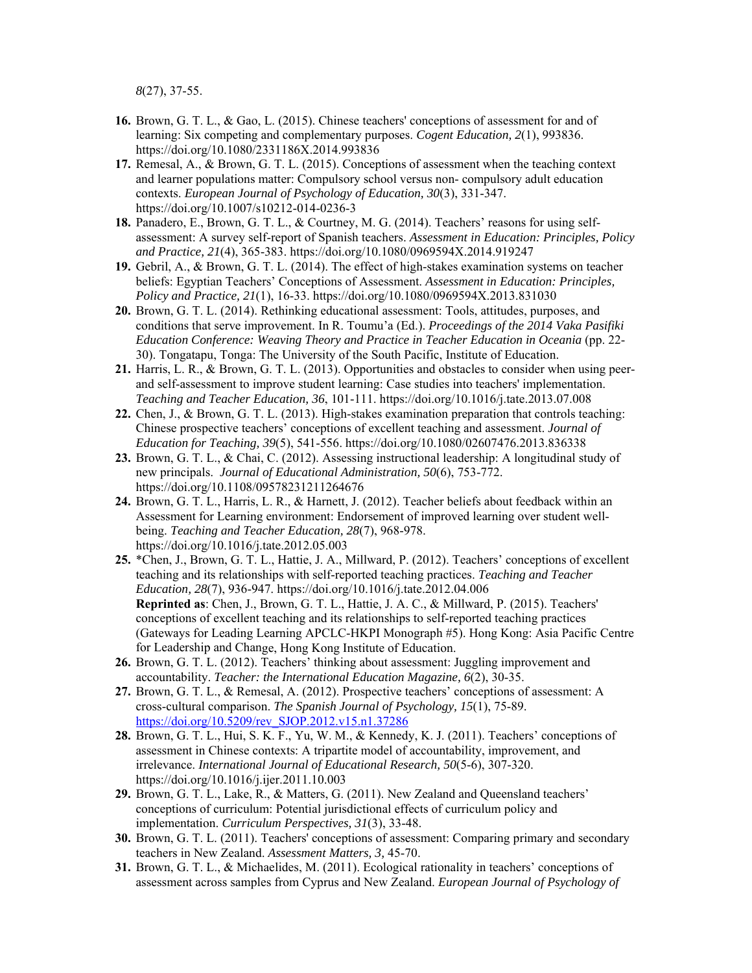*8*(27), 37-55.

- **16.** Brown, G. T. L., & Gao, L. (2015). Chinese teachers' conceptions of assessment for and of learning: Six competing and complementary purposes. *Cogent Education, 2*(1), 993836. https://doi.org/10.1080/2331186X.2014.993836
- **17.** Remesal, A., & Brown, G. T. L. (2015). Conceptions of assessment when the teaching context and learner populations matter: Compulsory school versus non- compulsory adult education contexts. *European Journal of Psychology of Education, 30*(3), 331-347. https://doi.org/10.1007/s10212-014-0236-3
- **18.** Panadero, E., Brown, G. T. L., & Courtney, M. G. (2014). Teachers' reasons for using selfassessment: A survey self-report of Spanish teachers. *Assessment in Education: Principles, Policy and Practice, 21*(4), 365-383. https://doi.org/10.1080/0969594X.2014.919247
- **19.** Gebril, A., & Brown, G. T. L. (2014). The effect of high-stakes examination systems on teacher beliefs: Egyptian Teachers' Conceptions of Assessment. *Assessment in Education: Principles, Policy and Practice, 21*(1), 16-33. https://doi.org/10.1080/0969594X.2013.831030
- **20.** Brown, G. T. L. (2014). Rethinking educational assessment: Tools, attitudes, purposes, and conditions that serve improvement. In R. Toumu'a (Ed.). *Proceedings of the 2014 Vaka Pasifiki Education Conference: Weaving Theory and Practice in Teacher Education in Oceania* (pp. 22-30). Tongatapu, Tonga: The University of the South Pacific, Institute of Education.
- **21.** Harris, L. R., & Brown, G. T. L. (2013). Opportunities and obstacles to consider when using peerand self-assessment to improve student learning: Case studies into teachers' implementation. *Teaching and Teacher Education, 36*, 101-111. https://doi.org/10.1016/j.tate.2013.07.008
- **22.** Chen, J., & Brown, G. T. L. (2013). High-stakes examination preparation that controls teaching: Chinese prospective teachers' conceptions of excellent teaching and assessment. *Journal of Education for Teaching, 39*(5), 541-556. https://doi.org/10.1080/02607476.2013.836338
- **23.** Brown, G. T. L., & Chai, C. (2012). Assessing instructional leadership: A longitudinal study of new principals. *Journal of Educational Administration, 50*(6), 753-772. https://doi.org/10.1108/09578231211264676
- **24.** Brown, G. T. L., Harris, L. R., & Harnett, J. (2012). Teacher beliefs about feedback within an Assessment for Learning environment: Endorsement of improved learning over student wellbeing. *Teaching and Teacher Education, 28*(7), 968-978. https://doi.org/10.1016/j.tate.2012.05.003
- **25.** \*Chen, J., Brown, G. T. L., Hattie, J. A., Millward, P. (2012). Teachers' conceptions of excellent teaching and its relationships with self-reported teaching practices. *Teaching and Teacher Education, 28*(7), 936-947. https://doi.org/10.1016/j.tate.2012.04.006 **Reprinted as**: Chen, J., Brown, G. T. L., Hattie, J. A. C., & Millward, P. (2015). Teachers' conceptions of excellent teaching and its relationships to self-reported teaching practices (Gateways for Leading Learning APCLC-HKPI Monograph #5). Hong Kong: Asia Pacific Centre for Leadership and Change, Hong Kong Institute of Education.
- **26.** Brown, G. T. L. (2012). Teachers' thinking about assessment: Juggling improvement and accountability. *Teacher: the International Education Magazine, 6*(2), 30-35.
- **27.** Brown, G. T. L., & Remesal, A. (2012). Prospective teachers' conceptions of assessment: A cross-cultural comparison. *The Spanish Journal of Psychology, 15*(1), 75-89. https://doi.org/10.5209/rev\_SJOP.2012.v15.n1.37286
- **28.** Brown, G. T. L., Hui, S. K. F., Yu, W. M., & Kennedy, K. J. (2011). Teachers' conceptions of assessment in Chinese contexts: A tripartite model of accountability, improvement, and irrelevance. *International Journal of Educational Research, 50*(5-6), 307-320. https://doi.org/10.1016/j.ijer.2011.10.003
- **29.** Brown, G. T. L., Lake, R., & Matters, G. (2011). New Zealand and Queensland teachers' conceptions of curriculum: Potential jurisdictional effects of curriculum policy and implementation. *Curriculum Perspectives, 31*(3), 33-48.
- **30.** Brown, G. T. L. (2011). Teachers' conceptions of assessment: Comparing primary and secondary teachers in New Zealand. *Assessment Matters, 3,* 45-70.
- **31.** Brown, G. T. L., & Michaelides, M. (2011). Ecological rationality in teachers' conceptions of assessment across samples from Cyprus and New Zealand. *European Journal of Psychology of*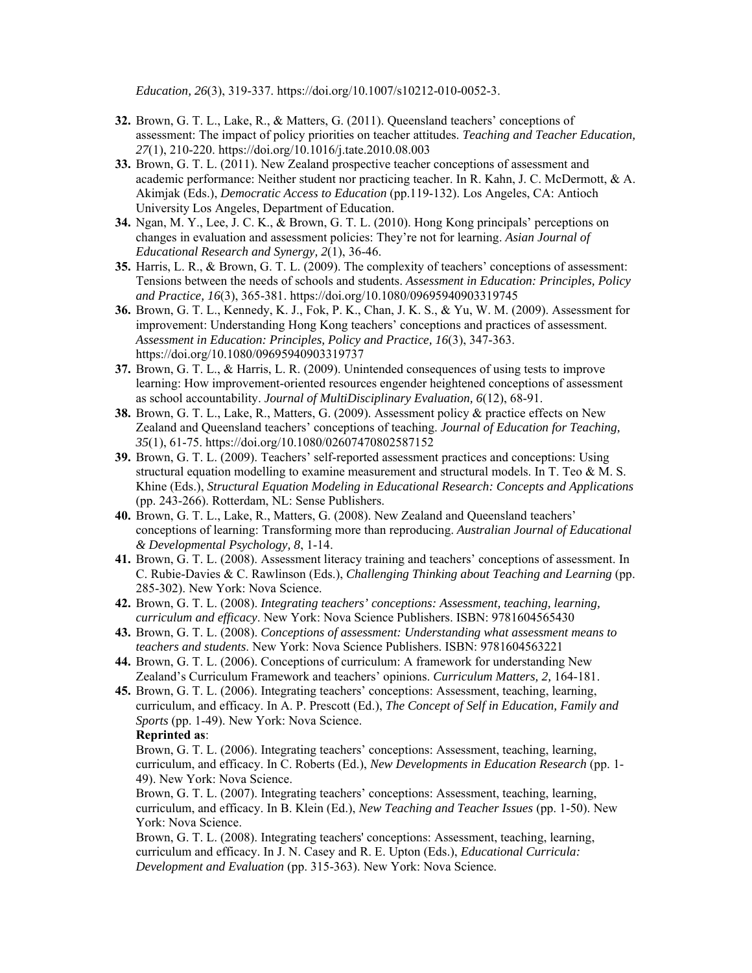*Education, 26*(3), 319-337. https://doi.org/10.1007/s10212-010-0052-3.

- **32.** Brown, G. T. L., Lake, R., & Matters, G. (2011). Queensland teachers' conceptions of assessment: The impact of policy priorities on teacher attitudes. *Teaching and Teacher Education, 27*(1), 210-220. https://doi.org/10.1016/j.tate.2010.08.003
- **33.** Brown, G. T. L. (2011). New Zealand prospective teacher conceptions of assessment and academic performance: Neither student nor practicing teacher. In R. Kahn, J. C. McDermott, & A. Akimjak (Eds.), *Democratic Access to Education* (pp.119-132). Los Angeles, CA: Antioch University Los Angeles, Department of Education.
- **34.** Ngan, M. Y., Lee, J. C. K., & Brown, G. T. L. (2010). Hong Kong principals' perceptions on changes in evaluation and assessment policies: They're not for learning. *Asian Journal of Educational Research and Synergy, 2*(1), 36-46.
- **35.** Harris, L. R., & Brown, G. T. L. (2009). The complexity of teachers' conceptions of assessment: Tensions between the needs of schools and students. *Assessment in Education: Principles, Policy and Practice, 16*(3), 365-381. https://doi.org/10.1080/09695940903319745
- **36.** Brown, G. T. L., Kennedy, K. J., Fok, P. K., Chan, J. K. S., & Yu, W. M. (2009). Assessment for improvement: Understanding Hong Kong teachers' conceptions and practices of assessment. *Assessment in Education: Principles, Policy and Practice, 16*(3), 347-363. https://doi.org/10.1080/09695940903319737
- **37.** Brown, G. T. L., & Harris, L. R. (2009). Unintended consequences of using tests to improve learning: How improvement-oriented resources engender heightened conceptions of assessment as school accountability. *Journal of MultiDisciplinary Evaluation, 6*(12), 68-91.
- **38.** Brown, G. T. L., Lake, R., Matters, G. (2009). Assessment policy & practice effects on New Zealand and Queensland teachers' conceptions of teaching. *Journal of Education for Teaching, 35*(1), 61-75. https://doi.org/10.1080/02607470802587152
- **39.** Brown, G. T. L. (2009). Teachers' self-reported assessment practices and conceptions: Using structural equation modelling to examine measurement and structural models. In T. Teo & M. S. Khine (Eds.), *Structural Equation Modeling in Educational Research: Concepts and Applications* (pp. 243-266). Rotterdam, NL: Sense Publishers.
- **40.** Brown, G. T. L., Lake, R., Matters, G. (2008). New Zealand and Queensland teachers' conceptions of learning: Transforming more than reproducing. *Australian Journal of Educational & Developmental Psychology, 8*, 1-14.
- **41.** Brown, G. T. L. (2008). Assessment literacy training and teachers' conceptions of assessment. In C. Rubie-Davies & C. Rawlinson (Eds.), *Challenging Thinking about Teaching and Learning* (pp. 285-302). New York: Nova Science.
- **42.** Brown, G. T. L. (2008). *Integrating teachers' conceptions: Assessment, teaching, learning, curriculum and efficacy*. New York: Nova Science Publishers. ISBN: 9781604565430
- **43.** Brown, G. T. L. (2008). *Conceptions of assessment: Understanding what assessment means to teachers and students*. New York: Nova Science Publishers. ISBN: 9781604563221
- **44.** Brown, G. T. L. (2006). Conceptions of curriculum: A framework for understanding New Zealand's Curriculum Framework and teachers' opinions. *Curriculum Matters, 2,* 164-181.
- **45.** Brown, G. T. L. (2006). Integrating teachers' conceptions: Assessment, teaching, learning, curriculum, and efficacy. In A. P. Prescott (Ed.), *The Concept of Self in Education, Family and Sports* (pp. 1-49). New York: Nova Science.

## **Reprinted as**:

Brown, G. T. L. (2006). Integrating teachers' conceptions: Assessment, teaching, learning, curriculum, and efficacy. In C. Roberts (Ed.), *New Developments in Education Research* (pp. 1- 49). New York: Nova Science.

Brown, G. T. L. (2007). Integrating teachers' conceptions: Assessment, teaching, learning, curriculum, and efficacy. In B. Klein (Ed.), *New Teaching and Teacher Issues* (pp. 1-50). New York: Nova Science.

Brown, G. T. L. (2008). Integrating teachers' conceptions: Assessment, teaching, learning, curriculum and efficacy. In J. N. Casey and R. E. Upton (Eds.), *Educational Curricula: Development and Evaluation* (pp. 315-363). New York: Nova Science.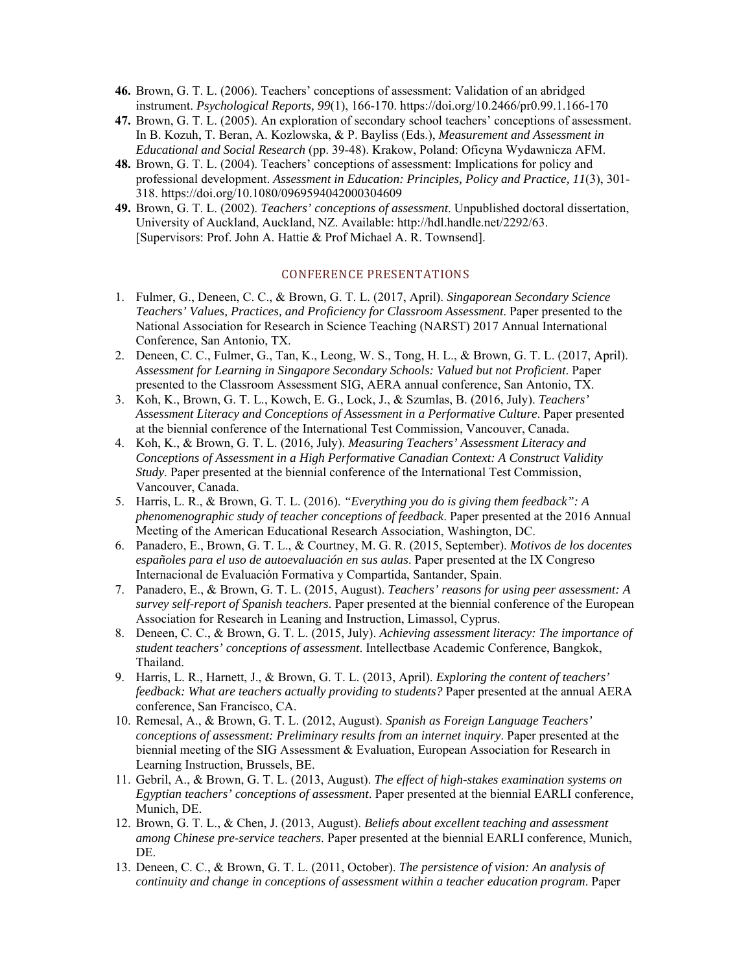- **46.** Brown, G. T. L. (2006). Teachers' conceptions of assessment: Validation of an abridged instrument. *Psychological Reports, 99*(1), 166-170. https://doi.org/10.2466/pr0.99.1.166-170
- **47.** Brown, G. T. L. (2005). An exploration of secondary school teachers' conceptions of assessment. In B. Kozuh, T. Beran, A. Kozlowska, & P. Bayliss (Eds.), *Measurement and Assessment in Educational and Social Research* (pp. 39-48). Krakow, Poland: Oficyna Wydawnicza AFM.
- **48.** Brown, G. T. L. (2004). Teachers' conceptions of assessment: Implications for policy and professional development. *Assessment in Education: Principles, Policy and Practice, 11*(3), 301- 318. https://doi.org/10.1080/0969594042000304609
- **49.** Brown, G. T. L. (2002). *Teachers' conceptions of assessment*. Unpublished doctoral dissertation, University of Auckland, Auckland, NZ. Available: http://hdl.handle.net/2292/63. [Supervisors: Prof. John A. Hattie & Prof Michael A. R. Townsend].

## CONFERENCE PRESENTATIONS

- 1. Fulmer, G., Deneen, C. C., & Brown, G. T. L. (2017, April). *Singaporean Secondary Science Teachers' Values, Practices, and Proficiency for Classroom Assessment*. Paper presented to the National Association for Research in Science Teaching (NARST) 2017 Annual International Conference, San Antonio, TX.
- 2. Deneen, C. C., Fulmer, G., Tan, K., Leong, W. S., Tong, H. L., & Brown, G. T. L. (2017, April). *Assessment for Learning in Singapore Secondary Schools: Valued but not Proficient*. Paper presented to the Classroom Assessment SIG, AERA annual conference, San Antonio, TX.
- 3. Koh, K., Brown, G. T. L., Kowch, E. G., Lock, J., & Szumlas, B. (2016, July). *Teachers' Assessment Literacy and Conceptions of Assessment in a Performative Culture*. Paper presented at the biennial conference of the International Test Commission, Vancouver, Canada.
- 4. Koh, K., & Brown, G. T. L. (2016, July). *Measuring Teachers' Assessment Literacy and Conceptions of Assessment in a High Performative Canadian Context: A Construct Validity Study*. Paper presented at the biennial conference of the International Test Commission, Vancouver, Canada.
- 5. Harris, L. R., & Brown, G. T. L. (2016). *"Everything you do is giving them feedback": A phenomenographic study of teacher conceptions of feedback*. Paper presented at the 2016 Annual Meeting of the American Educational Research Association, Washington, DC.
- 6. Panadero, E., Brown, G. T. L., & Courtney, M. G. R. (2015, September). *Motivos de los docentes españoles para el uso de autoevaluación en sus aulas*. Paper presented at the IX Congreso Internacional de Evaluación Formativa y Compartida, Santander, Spain.
- 7. Panadero, E., & Brown, G. T. L. (2015, August). *Teachers' reasons for using peer assessment: A survey self-report of Spanish teachers*. Paper presented at the biennial conference of the European Association for Research in Leaning and Instruction, Limassol, Cyprus.
- 8. Deneen, C. C., & Brown, G. T. L. (2015, July). *Achieving assessment literacy: The importance of student teachers' conceptions of assessment*. Intellectbase Academic Conference, Bangkok, Thailand.
- 9. Harris, L. R., Harnett, J., & Brown, G. T. L. (2013, April). *Exploring the content of teachers' feedback: What are teachers actually providing to students?* Paper presented at the annual AERA conference, San Francisco, CA.
- 10. Remesal, A., & Brown, G. T. L. (2012, August). *Spanish as Foreign Language Teachers' conceptions of assessment: Preliminary results from an internet inquiry*. Paper presented at the biennial meeting of the SIG Assessment & Evaluation, European Association for Research in Learning Instruction, Brussels, BE.
- 11. Gebril, A., & Brown, G. T. L. (2013, August). *The effect of high-stakes examination systems on Egyptian teachers' conceptions of assessment*. Paper presented at the biennial EARLI conference, Munich, DE.
- 12. Brown, G. T. L., & Chen, J. (2013, August). *Beliefs about excellent teaching and assessment among Chinese pre-service teachers*. Paper presented at the biennial EARLI conference, Munich, DE.
- 13. Deneen, C. C., & Brown, G. T. L. (2011, October). *The persistence of vision: An analysis of continuity and change in conceptions of assessment within a teacher education program*. Paper